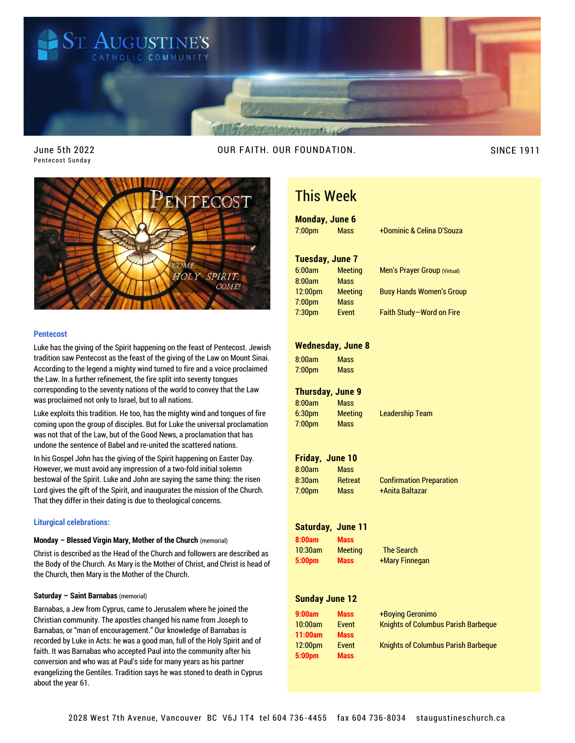

June 5th 2022 Pentecost Sunday

OUR FAITH. OUR FOUNDATION. SINCE 1911



# **Pentecost**

Luke has the giving of the Spirit happening on the feast of Pentecost. Jewish tradition saw Pentecost as the feast of the giving of the Law on Mount Sinai. According to the legend a mighty wind turned to fire and a voice proclaimed the Law. In a further refinement, the fire split into seventy tongues corresponding to the seventy nations of the world to convey that the Law was proclaimed not only to Israel, but to all nations.

Luke exploits this tradition. He too, has the mighty wind and tongues of fire coming upon the group of disciples. But for Luke the universal proclamation was not that of the Law, but of the Good News, a proclamation that has undone the sentence of Babel and re-united the scattered nations.

In his Gospel John has the giving of the Spirit happening on Easter Day. However, we must avoid any impression of a two-fold initial solemn bestowal of the Spirit. Luke and John are saying the same thing: the risen Lord gives the gift of the Spirit, and inaugurates the mission of the Church. That they differ in their dating is due to theological concerns.

# **Liturgical celebrations:**

#### **Monday – Blessed Virgin Mary, Mother of the Church** (memorial)

Christ is described as the Head of the Church and followers are described as the Body of the Church. As Mary is the Mother of Christ, and Christ is head of the Church, then Mary is the Mother of the Church.

#### **Saturday – Saint Barnabas** (memorial)

Barnabas, a Jew from Cyprus, came to Jerusalem where he joined the Christian community. The apostles changed his name from Joseph to Barnabas, or "man of encouragement." Our knowledge of Barnabas is recorded by Luke in Acts: he was a good man, full of the Holy Spirit and of faith. It was Barnabas who accepted Paul into the community after his conversion and who was at Paul's side for many years as his partner evangelizing the Gentiles. Tradition says he was stoned to death in Cyprus about the year 61.

# This Week

# **Monday, June 6** 7:00pm Mass +Dominic & Celina D'Souza

**Tuesday, June 7** 6:00am Meeting Men's Prayer Group (Virtual) 8:00am Mass 12:00pm Meeting Busy Hands Women's Group 7:00pm Mass

|  | <b>Busy Hands women's Group</b> |  |
|--|---------------------------------|--|
|  |                                 |  |

7:30pm Event Faith Study—Word on Fire

#### **Wednesday, June 8**

8:00am Mass 7:00pm Mass

# **Thursday, June 9**

8:00am Mass 6:30pm Meeting Leadership Team 7:00pm Mass

# **Friday, June 10**

8:00am Mass 7:00pm Mass +Anita Baltazar

8:30am Retreat Confirmation Preparation

## **Saturday, June 11**

**8:00am Mass** 10:30am Meeting The Search

**5:00pm Mass** +Mary Finnegan

# **Sunday June 12**

| 9:00am              | Mass         |
|---------------------|--------------|
| 10:00am             | <b>Event</b> |
| 11:00am             | <b>Mass</b>  |
| 12:00 <sub>pm</sub> | Event        |
| 5:00pm              | <b>Mass</b>  |

| 9:00am  | <b>Mass</b> | +Boying Geronimo                           |
|---------|-------------|--------------------------------------------|
| 10:00am | Event       | <b>Knights of Columbus Parish Barbeque</b> |
| 11:00am | <b>Mass</b> |                                            |
| 12:00pm | Event       | <b>Knights of Columbus Parish Barbeque</b> |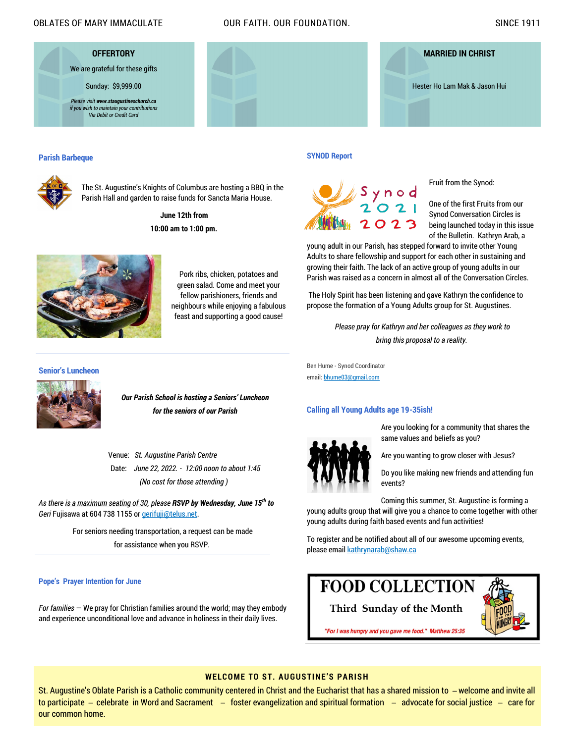# OBLATES OF MARY IMMACULATE OUR FAITH. OUR FOUNDATION. SINCE 1911

**OFFERTORY** We are grateful for these gifts Sunday: \$9,999.00 *Please visit www.staugustineschurch.ca if you wish to maintain your contributions Via Debit or Credit Card*



#### **Parish Barbeque**



The St. Augustine's Knights of Columbus are hosting a BBQ in the Parish Hall and garden to raise funds for Sancta Maria House.

> **June 12th from 10:00 am to 1:00 pm.**



Pork ribs, chicken, potatoes and green salad. Come and meet your fellow parishioners, friends and neighbours while enjoying a fabulous feast and supporting a good cause!

**SYNOD Report**



Fruit from the Synod:

One of the first Fruits from our Synod Conversation Circles is being launched today in this issue of the Bulletin. Kathryn Arab, a

young adult in our Parish, has stepped forward to invite other Young Adults to share fellowship and support for each other in sustaining and growing their faith. The lack of an active group of young adults in our Parish was raised as a concern in almost all of the Conversation Circles.

The Holy Spirit has been listening and gave Kathryn the confidence to propose the formation of a Young Adults group for St. Augustines.

> *Please pray for Kathryn and her colleagues as they work to bring this proposal to a reality.*

Ben Hume - Synod Coordinator email: [bhume03@gmail.com](mailto:bhume03@gmail.com)

#### **Calling all Young Adults age 19-35ish!**



Are you looking for a community that shares the same values and beliefs as you?

Are you wanting to grow closer with Jesus?

Do you like making new friends and attending fun events?

Coming this summer, St. Augustine is forming a young adults group that will give you a chance to come together with other young adults during faith based events and fun activities!

To register and be notified about all of our awesome upcoming events, please email [kathrynarab@shaw.ca](mailto:kathrynarab@shaw.ca)

# **Pope's Prayer Intention for June**

*For families* — We pray for Christian families around the world; may they embody and experience unconditional love and advance in holiness in their daily lives.

**Third Sunday of the Month**

**FOOD COLLECTION** 



"For I was hungry and you gave me food." Matthew 25:35

# **WELCOME TO ST. AUGUSTINE'S PARISH**

St. Augustine's Oblate Parish is a Catholic community centered in Christ and the Eucharist that has a shared mission to ̶ welcome and invite all to participate – celebrate in Word and Sacrament – foster evangelization and spiritual formation – advocate for social justice – care for our common home.

# **Senior's Luncheon**



*Our Parish School is hosting a Seniors' Luncheon for the seniors of our Parish*

Venue: *St. Augustine Parish Centre* Date: *June 22, 2022. - 12:00 noon to about 1:45 (No cost for those attending )*

*As there is a maximum seating of 30, please RSVP by Wednesday, June 15th to Geri* Fujisawa at 604 738 1155 or [gerifuji@telus.net.](mailto:gerifuji@telus.net)

> For seniors needing transportation, a request can be made for assistance when you RSVP.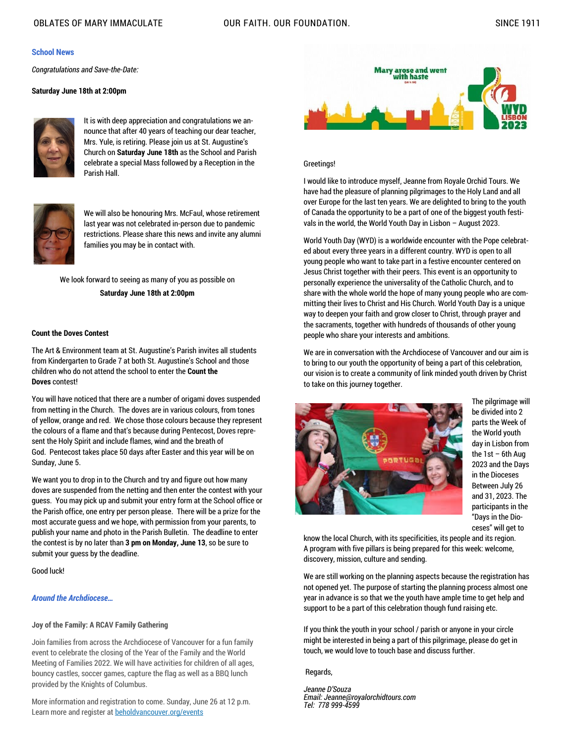# **School News**

*Congratulations and Save-the-Date:*

# **Saturday June 18th at 2:00pm**



It is with deep appreciation and congratulations we announce that after 40 years of teaching our dear teacher, Mrs. Yule, is retiring. Please join us at St. Augustine's Church on **Saturday June 18th** as the School and Parish celebrate a special Mass followed by a Reception in the Parish Hall.



We will also be honouring Mrs. McFaul, whose retirement last year was not celebrated in-person due to pandemic restrictions. Please share this news and invite any alumni families you may be in contact with.

We look forward to seeing as many of you as possible on **Saturday June 18th at 2:00pm**

# **Count the Doves Contest**

The Art & Environment team at St. Augustine's Parish invites all students from Kindergarten to Grade 7 at both St. Augustine's School and those children who do not attend the school to enter the **Count the Doves** contest!

You will have noticed that there are a number of origami doves suspended from netting in the Church. The doves are in various colours, from tones of yellow, orange and red. We chose those colours because they represent the colours of a flame and that's because during Pentecost, Doves represent the Holy Spirit and include flames, wind and the breath of God. Pentecost takes place 50 days after Easter and this year will be on Sunday, June 5.

We want you to drop in to the Church and try and figure out how many doves are suspended from the netting and then enter the contest with your guess. You may pick up and submit your entry form at the School office or the Parish office, one entry per person please. There will be a prize for the most accurate guess and we hope, with permission from your parents, to publish your name and photo in the Parish Bulletin. The deadline to enter the contest is by no later than **3 pm on Monday, June 13**, so be sure to submit your guess by the deadline.

Good luck!

# *Around the Archdiocese…*

# **Joy of the Family: A RCAV Family Gathering**

Join families from across the Archdiocese of Vancouver for a fun family event to celebrate the closing of the Year of the Family and the World Meeting of Families 2022. We will have activities for children of all ages, bouncy castles, soccer games, capture the flag as well as a BBQ lunch provided by the Knights of Columbus.

More information and registration to come. Sunday, June 26 at 12 p.m. Learn more and register at [beholdvancouver.org/events](https://www2.rcav.org/e/897551/events-world-meeting-of-family/3ft8kd/728241968?h=1d3JLyBNXdGte6YeFOAiyiDqa3f_m_PhHuDOE9MRk3I)



# Greetings!

I would like to introduce myself, Jeanne from Royale Orchid Tours. We have had the pleasure of planning pilgrimages to the Holy Land and all over Europe for the last ten years. We are delighted to bring to the youth of Canada the opportunity to be a part of one of the biggest youth festivals in the world, the World Youth Day in Lisbon – August 2023.

World Youth Day (WYD) is a worldwide encounter with the Pope celebrated about every three years in a different country. WYD is open to all young people who want to take part in a festive encounter centered on Jesus Christ together with their peers. This event is an opportunity to personally experience the universality of the Catholic Church, and to share with the whole world the hope of many young people who are committing their lives to Christ and His Church. World Youth Day is a unique way to deepen your faith and grow closer to Christ, through prayer and the sacraments, together with hundreds of thousands of other young people who share your interests and ambitions.

We are in conversation with the Archdiocese of Vancouver and our aim is to bring to our youth the opportunity of being a part of this celebration, our vision is to create a community of link minded youth driven by Christ to take on this journey together.



The pilgrimage will be divided into 2 parts the Week of the World youth day in Lisbon from the 1st – 6th Aug 2023 and the Days in the Dioceses Between July 26 and 31, 2023. The participants in the "Days in the Dioceses" will get to

know the local Church, with its specificities, its people and its region. A program with five pillars is being prepared for this week: welcome, discovery, mission, culture and sending.

We are still working on the planning aspects because the registration has not opened yet. The purpose of starting the planning process almost one year in advance is so that we the youth have ample time to get help and support to be a part of this celebration though fund raising etc.

If you think the youth in your school / parish or anyone in your circle might be interested in being a part of this pilgrimage, please do get in touch, we would love to touch base and discuss further.

## Regards,

*Jeanne D'Souza Email: Jeanne@royalorchidtours.com Tel: 778 999-4599*